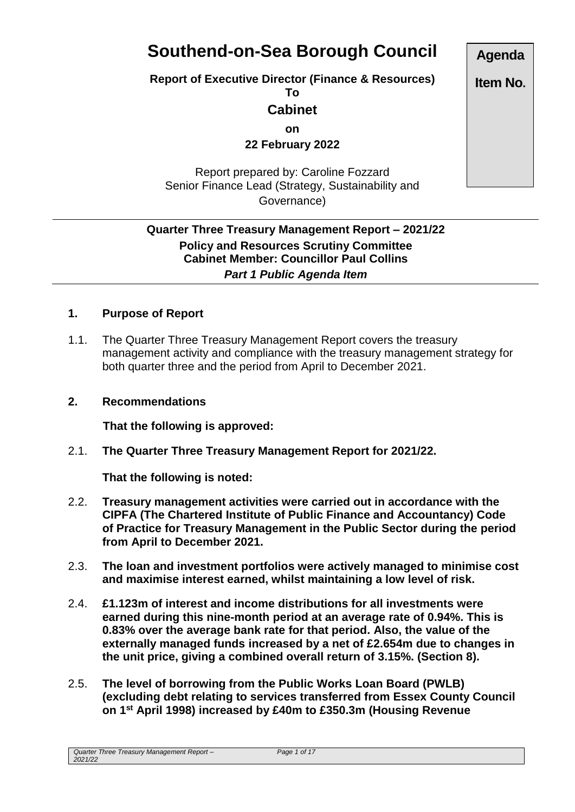# **Southend-on-Sea Borough Council**

**Report of Executive Director (Finance & Resources)**

**To**

## **Cabinet**

**on**

**22 February 2022**

Report prepared by: Caroline Fozzard Senior Finance Lead (Strategy, Sustainability and Governance)

## **Quarter Three Treasury Management Report – 2021/22 Policy and Resources Scrutiny Committee Cabinet Member: Councillor Paul Collins** *Part 1 Public Agenda Item*

#### **1. Purpose of Report**

1.1. The Quarter Three Treasury Management Report covers the treasury management activity and compliance with the treasury management strategy for both quarter three and the period from April to December 2021.

#### **2. Recommendations**

**That the following is approved:**

2.1. **The Quarter Three Treasury Management Report for 2021/22.**

**That the following is noted:**

- 2.2. **Treasury management activities were carried out in accordance with the CIPFA (The Chartered Institute of Public Finance and Accountancy) Code of Practice for Treasury Management in the Public Sector during the period from April to December 2021.**
- 2.3. **The loan and investment portfolios were actively managed to minimise cost and maximise interest earned, whilst maintaining a low level of risk.**
- 2.4. **£1.123m of interest and income distributions for all investments were earned during this nine-month period at an average rate of 0.94%. This is 0.83% over the average bank rate for that period. Also, the value of the externally managed funds increased by a net of £2.654m due to changes in the unit price, giving a combined overall return of 3.15%. (Section 8).**
- 2.5. **The level of borrowing from the Public Works Loan Board (PWLB) (excluding debt relating to services transferred from Essex County Council on 1st April 1998) increased by £40m to £350.3m (Housing Revenue**

*Quarter Three Treasury Management Report – 2021/22*

**Agenda**

**Item No.**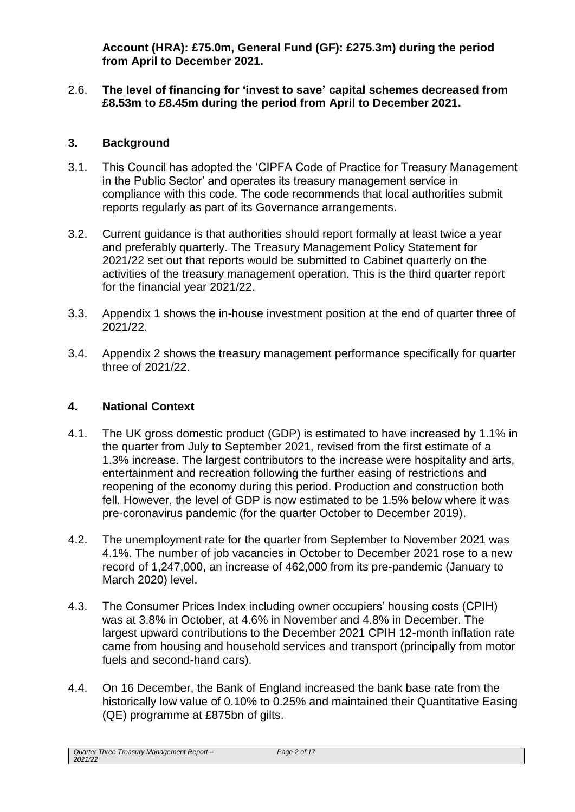**Account (HRA): £75.0m, General Fund (GF): £275.3m) during the period from April to December 2021.**

#### 2.6. **The level of financing for 'invest to save' capital schemes decreased from £8.53m to £8.45m during the period from April to December 2021.**

## **3. Background**

- 3.1. This Council has adopted the 'CIPFA Code of Practice for Treasury Management in the Public Sector' and operates its treasury management service in compliance with this code. The code recommends that local authorities submit reports regularly as part of its Governance arrangements.
- 3.2. Current guidance is that authorities should report formally at least twice a year and preferably quarterly. The Treasury Management Policy Statement for 2021/22 set out that reports would be submitted to Cabinet quarterly on the activities of the treasury management operation. This is the third quarter report for the financial year 2021/22.
- 3.3. Appendix 1 shows the in-house investment position at the end of quarter three of 2021/22.
- 3.4. Appendix 2 shows the treasury management performance specifically for quarter three of 2021/22.

## **4. National Context**

- 4.1. The UK gross domestic product (GDP) is estimated to have increased by 1.1% in the quarter from July to September 2021, revised from the first estimate of a 1.3% increase. The largest contributors to the increase were hospitality and arts, entertainment and recreation following the further easing of restrictions and reopening of the economy during this period. Production and construction both fell. However, the level of GDP is now estimated to be 1.5% below where it was pre-coronavirus pandemic (for the quarter October to December 2019).
- 4.2. The unemployment rate for the quarter from September to November 2021 was 4.1%. The number of job vacancies in October to December 2021 rose to a new record of 1,247,000, an increase of 462,000 from its pre-pandemic (January to March 2020) level.
- 4.3. The Consumer Prices Index including owner occupiers' housing costs (CPIH) was at 3.8% in October, at 4.6% in November and 4.8% in December. The largest upward contributions to the December 2021 CPIH 12-month inflation rate came from housing and household services and transport (principally from motor fuels and second-hand cars).
- 4.4. On 16 December, the Bank of England increased the bank base rate from the historically low value of 0.10% to 0.25% and maintained their Quantitative Easing (QE) programme at £875bn of gilts.

*Quarter Three Treasury Management Report – 2021/22*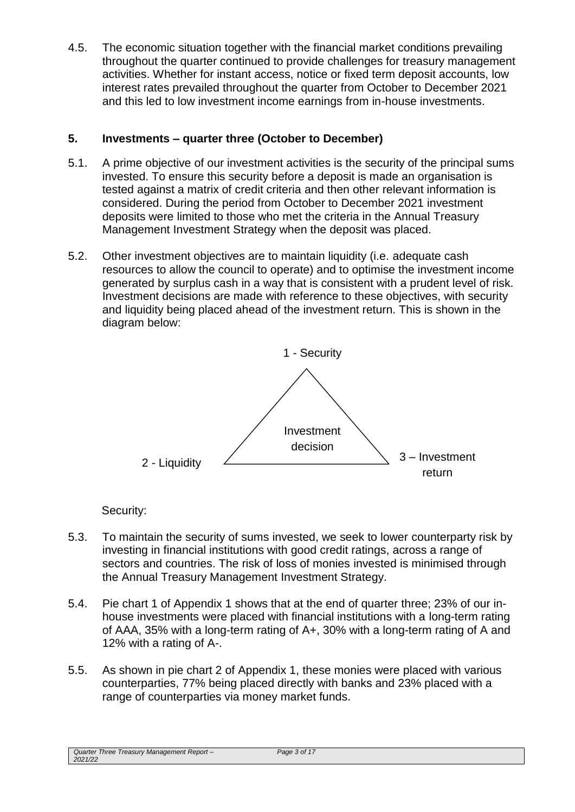4.5. The economic situation together with the financial market conditions prevailing throughout the quarter continued to provide challenges for treasury management activities. Whether for instant access, notice or fixed term deposit accounts, low interest rates prevailed throughout the quarter from October to December 2021 and this led to low investment income earnings from in-house investments.

## **5. Investments – quarter three (October to December)**

- 5.1. A prime objective of our investment activities is the security of the principal sums invested. To ensure this security before a deposit is made an organisation is tested against a matrix of credit criteria and then other relevant information is considered. During the period from October to December 2021 investment deposits were limited to those who met the criteria in the Annual Treasury Management Investment Strategy when the deposit was placed.
- 5.2. Other investment objectives are to maintain liquidity (i.e. adequate cash resources to allow the council to operate) and to optimise the investment income generated by surplus cash in a way that is consistent with a prudent level of risk. Investment decisions are made with reference to these objectives, with security and liquidity being placed ahead of the investment return. This is shown in the diagram below:



Security:

- 5.3. To maintain the security of sums invested, we seek to lower counterparty risk by investing in financial institutions with good credit ratings, across a range of sectors and countries. The risk of loss of monies invested is minimised through the Annual Treasury Management Investment Strategy.
- 5.4. Pie chart 1 of Appendix 1 shows that at the end of quarter three; 23% of our inhouse investments were placed with financial institutions with a long-term rating of AAA, 35% with a long-term rating of A+, 30% with a long-term rating of A and 12% with a rating of A-.
- 5.5. As shown in pie chart 2 of Appendix 1, these monies were placed with various counterparties, 77% being placed directly with banks and 23% placed with a range of counterparties via money market funds.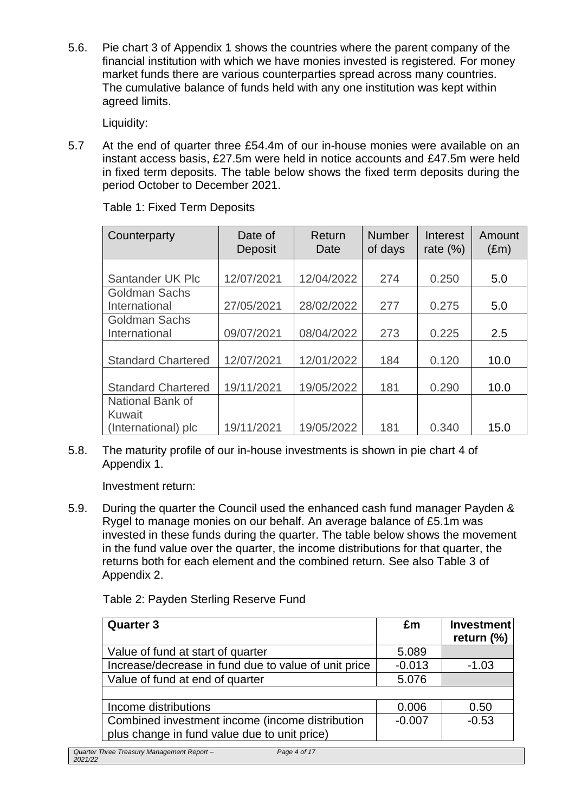5.6. Pie chart 3 of Appendix 1 shows the countries where the parent company of the financial institution with which we have monies invested is registered. For money market funds there are various counterparties spread across many countries. The cumulative balance of funds held with any one institution was kept within agreed limits.

Liquidity:

5.7 At the end of quarter three £54.4m of our in-house monies were available on an instant access basis, £27.5m were held in notice accounts and £47.5m were held in fixed term deposits. The table below shows the fixed term deposits during the period October to December 2021.

| Counterparty              | Date of<br>Deposit | Return<br>Date | <b>Number</b><br>of days | Interest<br>rate $(\%)$ | Amount<br>$(\text{Em})$ |
|---------------------------|--------------------|----------------|--------------------------|-------------------------|-------------------------|
|                           |                    |                |                          |                         |                         |
| Santander UK Plc          | 12/07/2021         | 12/04/2022     | 274                      | 0.250                   | 5.0                     |
| <b>Goldman Sachs</b>      |                    |                |                          |                         |                         |
| International             | 27/05/2021         | 28/02/2022     | 277                      | 0.275                   | 5.0                     |
| <b>Goldman Sachs</b>      |                    |                |                          |                         |                         |
| International             | 09/07/2021         | 08/04/2022     | 273                      | 0.225                   | 2.5                     |
|                           |                    |                |                          |                         |                         |
| <b>Standard Chartered</b> | 12/07/2021         | 12/01/2022     | 184                      | 0.120                   | 10.0                    |
|                           |                    |                |                          |                         |                         |
| <b>Standard Chartered</b> | 19/11/2021         | 19/05/2022     | 181                      | 0.290                   | 10.0                    |
| National Bank of          |                    |                |                          |                         |                         |
| Kuwait                    |                    |                |                          |                         |                         |
| (International) plc       | 19/11/2021         | 19/05/2022     | 181                      | 0.340                   | 15.0                    |

Table 1: Fixed Term Deposits

5.8. The maturity profile of our in-house investments is shown in pie chart 4 of Appendix 1.

Investment return:

5.9. During the quarter the Council used the enhanced cash fund manager Payden & Rygel to manage monies on our behalf. An average balance of £5.1m was invested in these funds during the quarter. The table below shows the movement in the fund value over the quarter, the income distributions for that quarter, the returns both for each element and the combined return. See also Table 3 of Appendix 2.

Table 2: Payden Sterling Reserve Fund

| £m       | <b>Investment</b> |
|----------|-------------------|
|          | return (%)        |
| 5.089    |                   |
| $-0.013$ | $-1.03$           |
| 5.076    |                   |
|          |                   |
| 0.006    | 0.50              |
| $-0.007$ | $-0.53$           |
|          |                   |
|          |                   |

*Quarter Three Treasury Management Report – 2021/22*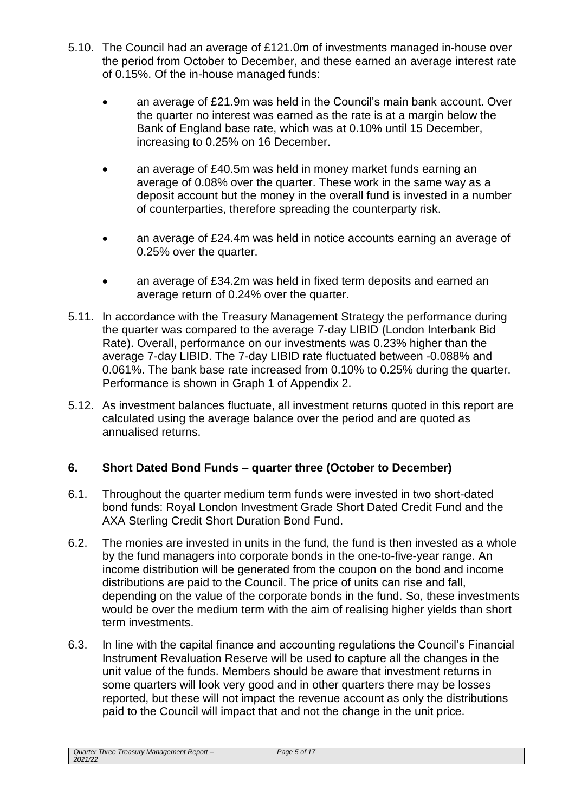- 5.10. The Council had an average of £121.0m of investments managed in-house over the period from October to December, and these earned an average interest rate of 0.15%. Of the in-house managed funds:
	- an average of £21.9m was held in the Council's main bank account. Over the quarter no interest was earned as the rate is at a margin below the Bank of England base rate, which was at 0.10% until 15 December, increasing to 0.25% on 16 December.
	- an average of £40.5m was held in money market funds earning an average of 0.08% over the quarter. These work in the same way as a deposit account but the money in the overall fund is invested in a number of counterparties, therefore spreading the counterparty risk.
	- an average of £24.4m was held in notice accounts earning an average of 0.25% over the quarter.
	- an average of £34.2m was held in fixed term deposits and earned an average return of 0.24% over the quarter.
- 5.11. In accordance with the Treasury Management Strategy the performance during the quarter was compared to the average 7-day LIBID (London Interbank Bid Rate). Overall, performance on our investments was 0.23% higher than the average 7-day LIBID. The 7-day LIBID rate fluctuated between -0.088% and 0.061%. The bank base rate increased from 0.10% to 0.25% during the quarter. Performance is shown in Graph 1 of Appendix 2.
- 5.12. As investment balances fluctuate, all investment returns quoted in this report are calculated using the average balance over the period and are quoted as annualised returns.

## **6. Short Dated Bond Funds – quarter three (October to December)**

- 6.1. Throughout the quarter medium term funds were invested in two short-dated bond funds: Royal London Investment Grade Short Dated Credit Fund and the AXA Sterling Credit Short Duration Bond Fund.
- 6.2. The monies are invested in units in the fund, the fund is then invested as a whole by the fund managers into corporate bonds in the one-to-five-year range. An income distribution will be generated from the coupon on the bond and income distributions are paid to the Council. The price of units can rise and fall, depending on the value of the corporate bonds in the fund. So, these investments would be over the medium term with the aim of realising higher yields than short term investments.
- 6.3. In line with the capital finance and accounting regulations the Council's Financial Instrument Revaluation Reserve will be used to capture all the changes in the unit value of the funds. Members should be aware that investment returns in some quarters will look very good and in other quarters there may be losses reported, but these will not impact the revenue account as only the distributions paid to the Council will impact that and not the change in the unit price.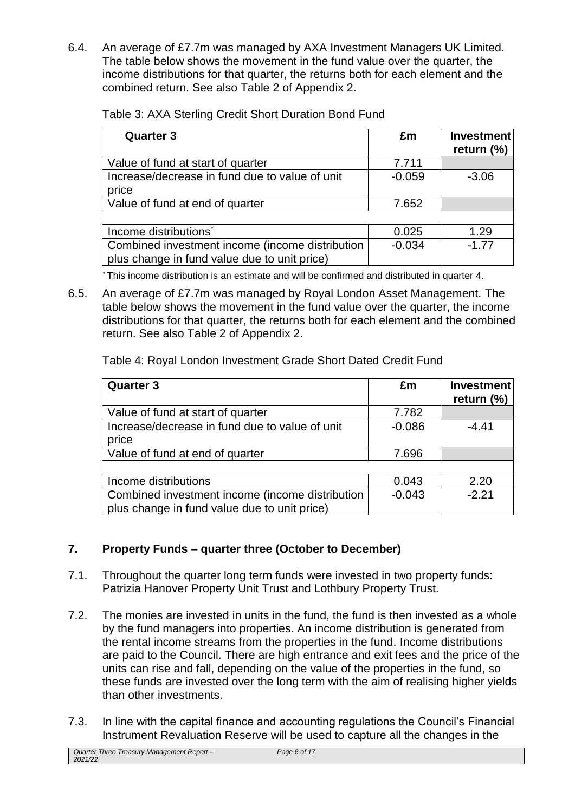6.4. An average of £7.7m was managed by AXA Investment Managers UK Limited. The table below shows the movement in the fund value over the quarter, the income distributions for that quarter, the returns both for each element and the combined return. See also Table 2 of Appendix 2.

| <b>Quarter 3</b>                                                                                | £m       | <b>Investment</b><br>return (%) |
|-------------------------------------------------------------------------------------------------|----------|---------------------------------|
| Value of fund at start of quarter                                                               | 7.711    |                                 |
| Increase/decrease in fund due to value of unit                                                  | $-0.059$ | $-3.06$                         |
| price                                                                                           |          |                                 |
| Value of fund at end of quarter                                                                 | 7.652    |                                 |
|                                                                                                 |          |                                 |
| Income distributions <sup>*</sup>                                                               | 0.025    | 1.29                            |
| Combined investment income (income distribution<br>plus change in fund value due to unit price) | $-0.034$ | $-1.77$                         |

Table 3: AXA Sterling Credit Short Duration Bond Fund

\* This income distribution is an estimate and will be confirmed and distributed in quarter 4.

6.5. An average of £7.7m was managed by Royal London Asset Management. The table below shows the movement in the fund value over the quarter, the income distributions for that quarter, the returns both for each element and the combined return. See also Table 2 of Appendix 2.

| Table 4: Royal London Investment Grade Short Dated Credit Fund |  |  |  |  |
|----------------------------------------------------------------|--|--|--|--|
|----------------------------------------------------------------|--|--|--|--|

| <b>Quarter 3</b>                                | £m       | <b>Investment</b><br>return (%) |
|-------------------------------------------------|----------|---------------------------------|
| Value of fund at start of quarter               | 7.782    |                                 |
| Increase/decrease in fund due to value of unit  | $-0.086$ | $-4.41$                         |
| price                                           |          |                                 |
| Value of fund at end of quarter                 | 7.696    |                                 |
|                                                 |          |                                 |
| Income distributions                            | 0.043    | 2.20                            |
| Combined investment income (income distribution | $-0.043$ | $-2.21$                         |
| plus change in fund value due to unit price)    |          |                                 |

## **7. Property Funds – quarter three (October to December)**

- 7.1. Throughout the quarter long term funds were invested in two property funds: Patrizia Hanover Property Unit Trust and Lothbury Property Trust.
- 7.2. The monies are invested in units in the fund, the fund is then invested as a whole by the fund managers into properties. An income distribution is generated from the rental income streams from the properties in the fund. Income distributions are paid to the Council. There are high entrance and exit fees and the price of the units can rise and fall, depending on the value of the properties in the fund, so these funds are invested over the long term with the aim of realising higher yields than other investments.
- 7.3. In line with the capital finance and accounting regulations the Council's Financial Instrument Revaluation Reserve will be used to capture all the changes in the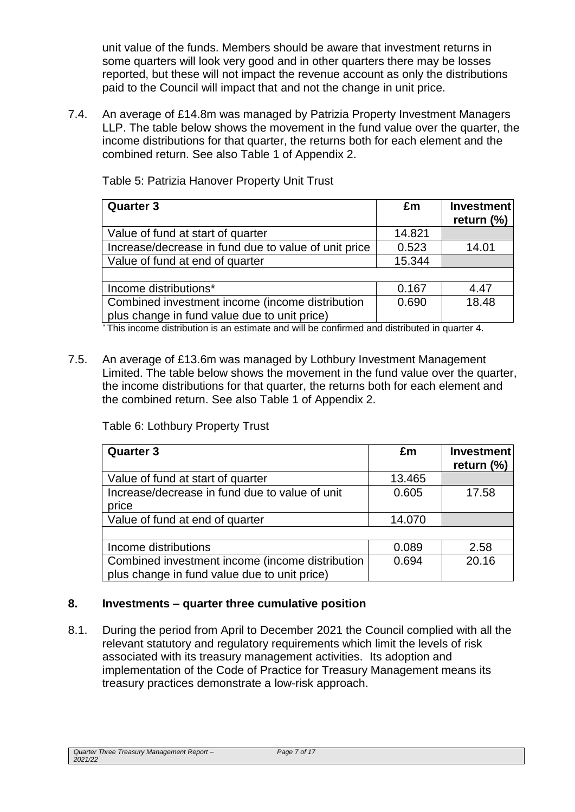unit value of the funds. Members should be aware that investment returns in some quarters will look very good and in other quarters there may be losses reported, but these will not impact the revenue account as only the distributions paid to the Council will impact that and not the change in unit price.

7.4. An average of £14.8m was managed by Patrizia Property Investment Managers LLP. The table below shows the movement in the fund value over the quarter, the income distributions for that quarter, the returns both for each element and the combined return. See also Table 1 of Appendix 2.

| <b>Quarter 3</b>                                     | £m     | <b>Investment</b><br>return $(\%)$ |
|------------------------------------------------------|--------|------------------------------------|
| Value of fund at start of quarter                    | 14.821 |                                    |
| Increase/decrease in fund due to value of unit price | 0.523  | 14.01                              |
| Value of fund at end of quarter                      | 15.344 |                                    |
|                                                      |        |                                    |
| Income distributions*                                | 0.167  | 4.47                               |
| Combined investment income (income distribution      | 0.690  | 18.48                              |
| plus change in fund value due to unit price)         |        |                                    |

Table 5: Patrizia Hanover Property Unit Trust

\* This income distribution is an estimate and will be confirmed and distributed in quarter 4.

7.5. An average of £13.6m was managed by Lothbury Investment Management Limited. The table below shows the movement in the fund value over the quarter, the income distributions for that quarter, the returns both for each element and the combined return. See also Table 1 of Appendix 2.

Table 6: Lothbury Property Trust

| <b>Quarter 3</b>                                | £m     | <b>Investment</b><br>return $(\%)$ |
|-------------------------------------------------|--------|------------------------------------|
| Value of fund at start of quarter               | 13.465 |                                    |
| Increase/decrease in fund due to value of unit  | 0.605  | 17.58                              |
| price                                           |        |                                    |
| Value of fund at end of quarter                 | 14.070 |                                    |
|                                                 |        |                                    |
| Income distributions                            | 0.089  | 2.58                               |
| Combined investment income (income distribution | 0.694  | 20.16                              |
| plus change in fund value due to unit price)    |        |                                    |

## **8. Investments – quarter three cumulative position**

8.1. During the period from April to December 2021 the Council complied with all the relevant statutory and regulatory requirements which limit the levels of risk associated with its treasury management activities. Its adoption and implementation of the Code of Practice for Treasury Management means its treasury practices demonstrate a low-risk approach.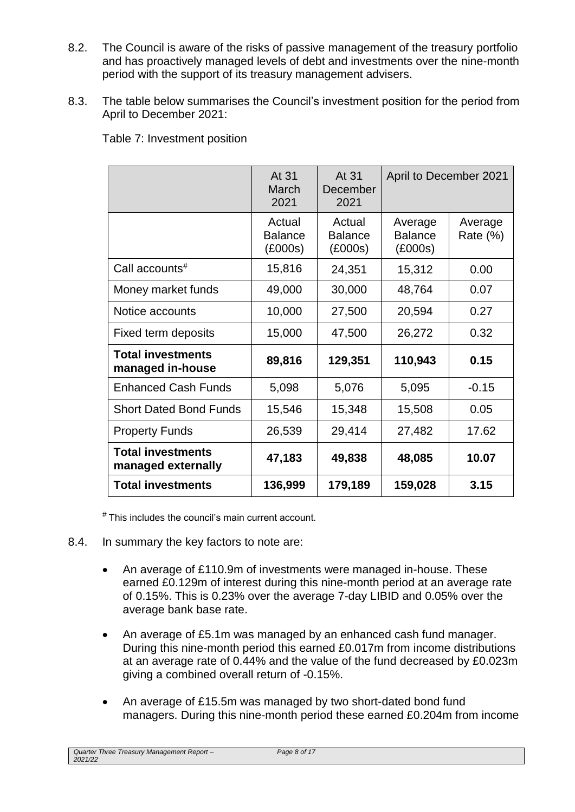- 8.2. The Council is aware of the risks of passive management of the treasury portfolio and has proactively managed levels of debt and investments over the nine-month period with the support of its treasury management advisers.
- 8.3. The table below summarises the Council's investment position for the period from April to December 2021:

Table 7: Investment position

|                                                | At 31<br>March<br>2021              | At 31<br>December<br>2021           | April to December 2021               |                     |
|------------------------------------------------|-------------------------------------|-------------------------------------|--------------------------------------|---------------------|
|                                                | Actual<br><b>Balance</b><br>(£000s) | Actual<br><b>Balance</b><br>(£000s) | Average<br><b>Balance</b><br>(E000s) | Average<br>Rate (%) |
| Call accounts <sup>#</sup>                     | 15,816                              | 24,351                              | 15,312                               | 0.00                |
| Money market funds                             | 49,000                              | 30,000                              | 48,764                               | 0.07                |
| Notice accounts                                | 10,000                              | 27,500                              | 20,594                               | 0.27                |
| Fixed term deposits                            | 15,000                              | 47,500                              | 26,272                               | 0.32                |
| <b>Total investments</b><br>managed in-house   | 89,816                              | 129,351                             | 110,943                              | 0.15                |
| <b>Enhanced Cash Funds</b>                     | 5,098                               | 5,076                               | 5,095                                | $-0.15$             |
| <b>Short Dated Bond Funds</b>                  | 15,546                              | 15,348                              | 15,508                               | 0.05                |
| <b>Property Funds</b>                          | 26,539                              | 29,414                              | 27,482                               | 17.62               |
| <b>Total investments</b><br>managed externally | 47,183                              | 49,838                              | 48,085                               | 10.07               |
| <b>Total investments</b>                       | 136,999                             | 179,189                             | 159,028                              | 3.15                |

# This includes the council's main current account.

- 8.4. In summary the key factors to note are:
	- An average of £110.9m of investments were managed in-house. These earned £0.129m of interest during this nine-month period at an average rate of 0.15%. This is 0.23% over the average 7-day LIBID and 0.05% over the average bank base rate.
	- An average of £5.1m was managed by an enhanced cash fund manager. During this nine-month period this earned £0.017m from income distributions at an average rate of 0.44% and the value of the fund decreased by £0.023m giving a combined overall return of -0.15%.
	- An average of £15.5m was managed by two short-dated bond fund managers. During this nine-month period these earned £0.204m from income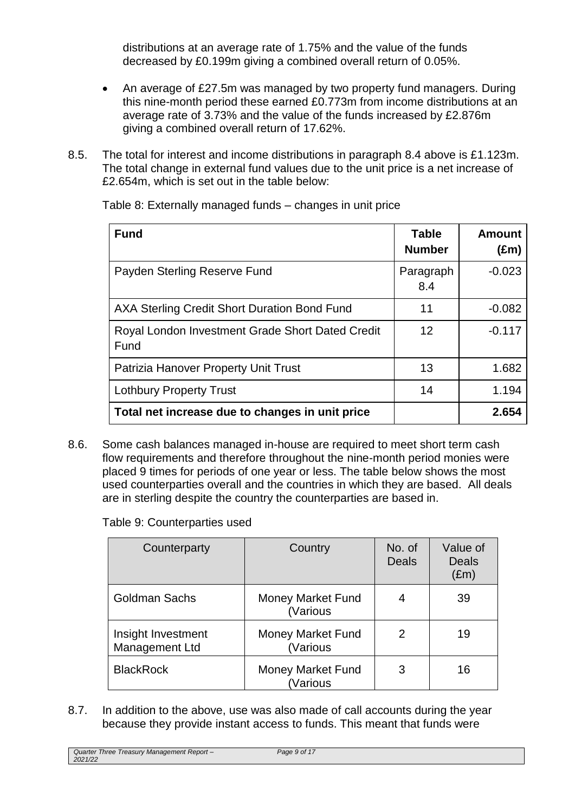distributions at an average rate of 1.75% and the value of the funds decreased by £0.199m giving a combined overall return of 0.05%.

- An average of £27.5m was managed by two property fund managers. During this nine-month period these earned £0.773m from income distributions at an average rate of 3.73% and the value of the funds increased by £2.876m giving a combined overall return of 17.62%.
- 8.5. The total for interest and income distributions in paragraph 8.4 above is £1.123m. The total change in external fund values due to the unit price is a net increase of £2.654m, which is set out in the table below:

| <b>Fund</b>                                              | <b>Table</b><br><b>Number</b> | <b>Amount</b><br>$(\text{Em})$ |
|----------------------------------------------------------|-------------------------------|--------------------------------|
| Payden Sterling Reserve Fund                             | Paragraph<br>8.4              | $-0.023$                       |
| AXA Sterling Credit Short Duration Bond Fund             | 11                            | $-0.082$                       |
| Royal London Investment Grade Short Dated Credit<br>Fund | 12                            | $-0.117$                       |
| Patrizia Hanover Property Unit Trust                     | 13                            | 1.682                          |
| <b>Lothbury Property Trust</b>                           | 14                            | 1.194                          |
| Total net increase due to changes in unit price          |                               | 2.654                          |

Table 8: Externally managed funds – changes in unit price

8.6. Some cash balances managed in-house are required to meet short term cash flow requirements and therefore throughout the nine-month period monies were placed 9 times for periods of one year or less. The table below shows the most used counterparties overall and the countries in which they are based. All deals are in sterling despite the country the counterparties are based in.

Table 9: Counterparties used

| Counterparty                         | Country                              | No. of<br><b>Deals</b> | Value of<br><b>Deals</b><br>$(\text{Em})$ |
|--------------------------------------|--------------------------------------|------------------------|-------------------------------------------|
| <b>Goldman Sachs</b>                 | <b>Money Market Fund</b><br>(Various | 4                      | 39                                        |
| Insight Investment<br>Management Ltd | <b>Money Market Fund</b><br>(Various | 2                      | 19                                        |
| <b>BlackRock</b>                     | <b>Money Market Fund</b><br>(Various | 3                      | 16                                        |

8.7. In addition to the above, use was also made of call accounts during the year because they provide instant access to funds. This meant that funds were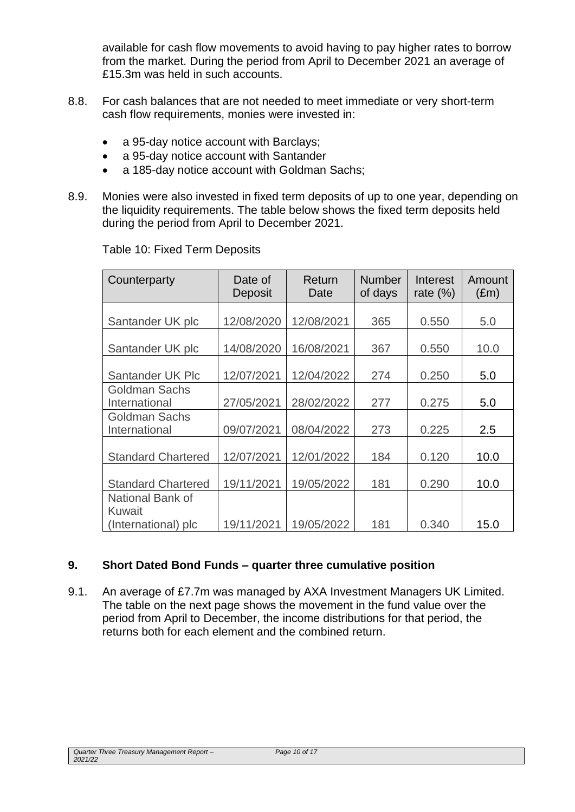available for cash flow movements to avoid having to pay higher rates to borrow from the market. During the period from April to December 2021 an average of £15.3m was held in such accounts.

- 8.8. For cash balances that are not needed to meet immediate or very short-term cash flow requirements, monies were invested in:
	- a 95-day notice account with Barclays;
	- a 95-day notice account with Santander
	- a 185-day notice account with Goldman Sachs;
- 8.9. Monies were also invested in fixed term deposits of up to one year, depending on the liquidity requirements. The table below shows the fixed term deposits held during the period from April to December 2021.

| Counterparty                          | Date of<br>Deposit | Return<br>Date | <b>Number</b><br>of days | Interest<br>rate $(\%)$ | Amount<br>$(\text{Em})$ |
|---------------------------------------|--------------------|----------------|--------------------------|-------------------------|-------------------------|
| Santander UK plc                      | 12/08/2020         | 12/08/2021     | 365                      | 0.550                   | 5.0                     |
| Santander UK plc                      | 14/08/2020         | 16/08/2021     | 367                      | 0.550                   | 10.0                    |
| Santander UK Plc                      | 12/07/2021         | 12/04/2022     | 274                      | 0.250                   | 5.0                     |
| Goldman Sachs<br>International        | 27/05/2021         | 28/02/2022     | 277                      | 0.275                   | 5.0                     |
| <b>Goldman Sachs</b><br>International | 09/07/2021         | 08/04/2022     | 273                      | 0.225                   | 2.5                     |
| <b>Standard Chartered</b>             | 12/07/2021         | 12/01/2022     | 184                      | 0.120                   | 10.0                    |
| <b>Standard Chartered</b>             | 19/11/2021         | 19/05/2022     | 181                      | 0.290                   | 10.0                    |
| National Bank of<br>Kuwait            |                    |                |                          |                         |                         |
| (International) plc                   | 19/11/2021         | 19/05/2022     | 181                      | 0.340                   | 15.0                    |

Table 10: Fixed Term Deposits

## **9. Short Dated Bond Funds – quarter three cumulative position**

9.1. An average of £7.7m was managed by AXA Investment Managers UK Limited. The table on the next page shows the movement in the fund value over the period from April to December, the income distributions for that period, the returns both for each element and the combined return.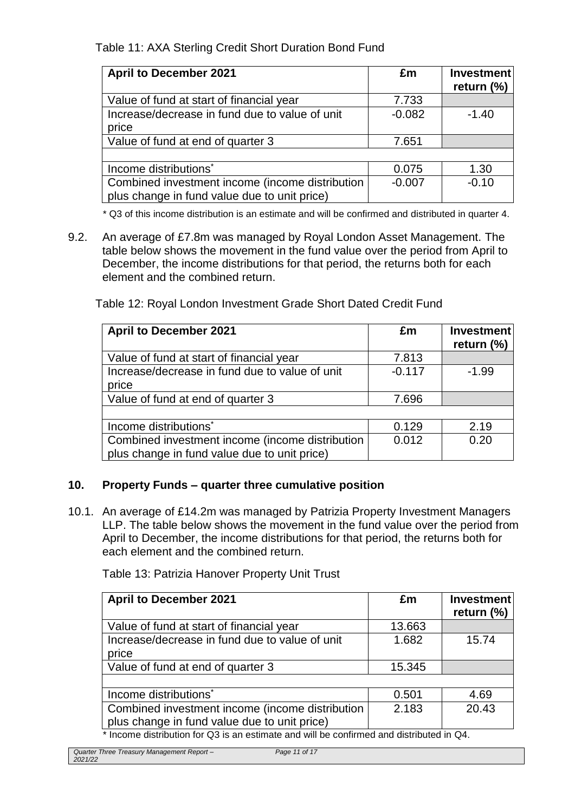Table 11: AXA Sterling Credit Short Duration Bond Fund

| <b>April to December 2021</b>                   | £m       | <b>Investment</b><br>return $(\%)$ |
|-------------------------------------------------|----------|------------------------------------|
| Value of fund at start of financial year        | 7.733    |                                    |
| Increase/decrease in fund due to value of unit  | $-0.082$ | $-1.40$                            |
| price                                           |          |                                    |
| Value of fund at end of quarter 3               | 7.651    |                                    |
|                                                 |          |                                    |
| Income distributions <sup>*</sup>               | 0.075    | 1.30                               |
| Combined investment income (income distribution | $-0.007$ | $-0.10$                            |
| plus change in fund value due to unit price)    |          |                                    |

\* Q3 of this income distribution is an estimate and will be confirmed and distributed in quarter 4.

9.2. An average of £7.8m was managed by Royal London Asset Management. The table below shows the movement in the fund value over the period from April to December, the income distributions for that period, the returns both for each element and the combined return.

Table 12: Royal London Investment Grade Short Dated Credit Fund

| <b>April to December 2021</b>                                                                   | £m       | Investment<br>return $(\%)$ |
|-------------------------------------------------------------------------------------------------|----------|-----------------------------|
| Value of fund at start of financial year                                                        | 7.813    |                             |
| Increase/decrease in fund due to value of unit<br>price                                         | $-0.117$ | $-1.99$                     |
| Value of fund at end of quarter 3                                                               | 7.696    |                             |
|                                                                                                 |          |                             |
| Income distributions <sup>*</sup>                                                               | 0.129    | 2.19                        |
| Combined investment income (income distribution<br>plus change in fund value due to unit price) | 0.012    | 0.20                        |

## **10. Property Funds – quarter three cumulative position**

10.1. An average of £14.2m was managed by Patrizia Property Investment Managers LLP. The table below shows the movement in the fund value over the period from April to December, the income distributions for that period, the returns both for each element and the combined return.

Table 13: Patrizia Hanover Property Unit Trust

| <b>April to December 2021</b>                                                           | £m     | <b>Investment</b><br>return $(\%)$ |  |
|-----------------------------------------------------------------------------------------|--------|------------------------------------|--|
| Value of fund at start of financial year                                                | 13.663 |                                    |  |
| Increase/decrease in fund due to value of unit                                          | 1.682  | 15.74                              |  |
| price                                                                                   |        |                                    |  |
| Value of fund at end of quarter 3                                                       | 15.345 |                                    |  |
|                                                                                         |        |                                    |  |
| Income distributions <sup>*</sup>                                                       | 0.501  | 4.69                               |  |
| Combined investment income (income distribution                                         | 2.183  | 20.43                              |  |
| plus change in fund value due to unit price)                                            |        |                                    |  |
| * Income distribution for Q3 is an estimate and will be confirmed and distributed in Q4 |        |                                    |  |

 $m$ e distribution for Q3 is an estimate and will be  $\alpha$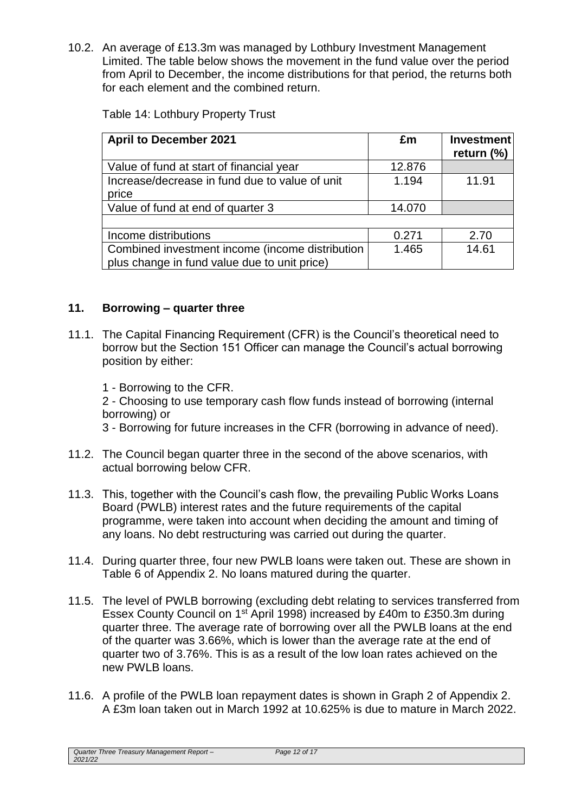10.2. An average of £13.3m was managed by Lothbury Investment Management Limited. The table below shows the movement in the fund value over the period from April to December, the income distributions for that period, the returns both for each element and the combined return.

| <b>April to December 2021</b>                                                                   | £m     | Investment<br>return $(\%)$ |
|-------------------------------------------------------------------------------------------------|--------|-----------------------------|
| Value of fund at start of financial year                                                        | 12.876 |                             |
| Increase/decrease in fund due to value of unit<br>price                                         | 1.194  | 11.91                       |
| Value of fund at end of quarter 3                                                               | 14.070 |                             |
|                                                                                                 |        |                             |
| Income distributions                                                                            | 0.271  | 2.70                        |
| Combined investment income (income distribution<br>plus change in fund value due to unit price) | 1.465  | 14.61                       |

#### **11. Borrowing – quarter three**

- 11.1. The Capital Financing Requirement (CFR) is the Council's theoretical need to borrow but the Section 151 Officer can manage the Council's actual borrowing position by either:
	- 1 Borrowing to the CFR.

2 - Choosing to use temporary cash flow funds instead of borrowing (internal borrowing) or

- 3 Borrowing for future increases in the CFR (borrowing in advance of need).
- 11.2. The Council began quarter three in the second of the above scenarios, with actual borrowing below CFR.
- 11.3. This, together with the Council's cash flow, the prevailing Public Works Loans Board (PWLB) interest rates and the future requirements of the capital programme, were taken into account when deciding the amount and timing of any loans. No debt restructuring was carried out during the quarter.
- 11.4. During quarter three, four new PWLB loans were taken out. These are shown in Table 6 of Appendix 2. No loans matured during the quarter.
- 11.5. The level of PWLB borrowing (excluding debt relating to services transferred from Essex County Council on 1st April 1998) increased by £40m to £350.3m during quarter three. The average rate of borrowing over all the PWLB loans at the end of the quarter was 3.66%, which is lower than the average rate at the end of quarter two of 3.76%. This is as a result of the low loan rates achieved on the new PWLB loans.
- 11.6. A profile of the PWLB loan repayment dates is shown in Graph 2 of Appendix 2. A £3m loan taken out in March 1992 at 10.625% is due to mature in March 2022.

*Quarter Three Treasury Management Report – 2021/22*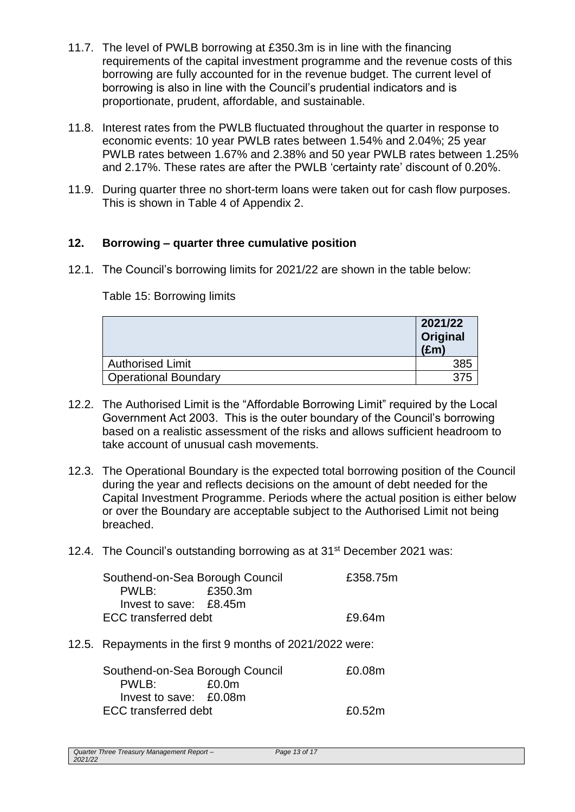- 11.7. The level of PWLB borrowing at £350.3m is in line with the financing requirements of the capital investment programme and the revenue costs of this borrowing are fully accounted for in the revenue budget. The current level of borrowing is also in line with the Council's prudential indicators and is proportionate, prudent, affordable, and sustainable.
- 11.8. Interest rates from the PWLB fluctuated throughout the quarter in response to economic events: 10 year PWLB rates between 1.54% and 2.04%; 25 year PWLB rates between 1.67% and 2.38% and 50 year PWLB rates between 1.25% and 2.17%. These rates are after the PWLB 'certainty rate' discount of 0.20%.
- 11.9. During quarter three no short-term loans were taken out for cash flow purposes. This is shown in Table 4 of Appendix 2.

## **12. Borrowing – quarter three cumulative position**

12.1. The Council's borrowing limits for 2021/22 are shown in the table below:

## Table 15: Borrowing limits

|                             | 2021/22<br>Original<br>$(\text{Em})$ |
|-----------------------------|--------------------------------------|
| <b>Authorised Limit</b>     |                                      |
| <b>Operational Boundary</b> |                                      |

- 12.2. The Authorised Limit is the "Affordable Borrowing Limit" required by the Local Government Act 2003. This is the outer boundary of the Council's borrowing based on a realistic assessment of the risks and allows sufficient headroom to take account of unusual cash movements.
- 12.3. The Operational Boundary is the expected total borrowing position of the Council during the year and reflects decisions on the amount of debt needed for the Capital Investment Programme. Periods where the actual position is either below or over the Boundary are acceptable subject to the Authorised Limit not being breached.
- 12.4. The Council's outstanding borrowing as at 31<sup>st</sup> December 2021 was:

| Southend-on-Sea Borough Council |         | £358.75m |
|---------------------------------|---------|----------|
| PWI B:                          | £350.3m |          |
| Invest to save: $£8.45m$        |         |          |
| ECC transferred debt            | £9.64m  |          |

12.5. Repayments in the first 9 months of 2021/2022 were:

| Southend-on-Sea Borough Council | £0.08m            |        |
|---------------------------------|-------------------|--------|
| PWLB:                           | £0.0 <sub>m</sub> |        |
| Invest to save: £0.08m          |                   |        |
| ECC transferred debt            |                   | £0.52m |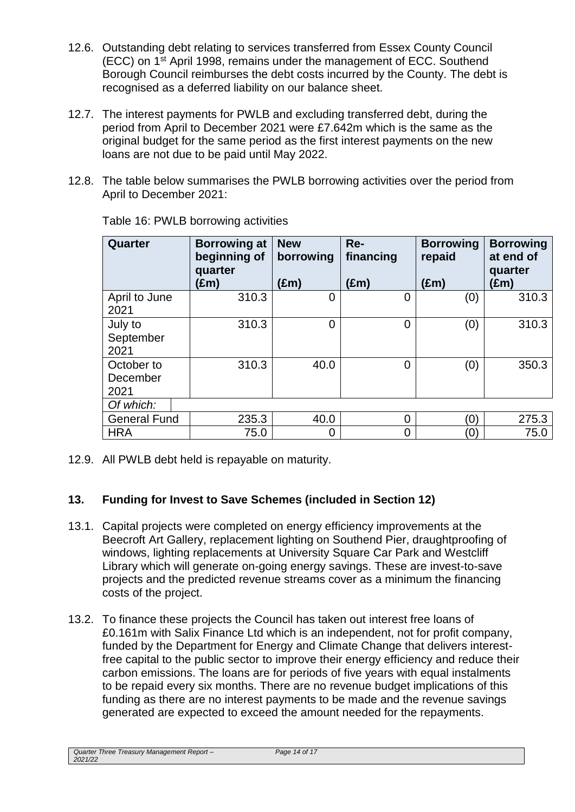- 12.6. Outstanding debt relating to services transferred from Essex County Council (ECC) on 1st April 1998, remains under the management of ECC. Southend Borough Council reimburses the debt costs incurred by the County. The debt is recognised as a deferred liability on our balance sheet.
- 12.7. The interest payments for PWLB and excluding transferred debt, during the period from April to December 2021 were £7.642m which is the same as the original budget for the same period as the first interest payments on the new loans are not due to be paid until May 2022.
- 12.8. The table below summarises the PWLB borrowing activities over the period from April to December 2021:

| Quarter                        | <b>Borrowing at</b><br>beginning of<br>quarter<br>(£m) | <b>New</b><br>borrowing<br>$(\text{Em})$ | Re-<br>financing<br>(£m) | <b>Borrowing</b><br>repaid<br>$(\text{Em})$ | <b>Borrowing</b><br>at end of<br>quarter<br>(£m) |
|--------------------------------|--------------------------------------------------------|------------------------------------------|--------------------------|---------------------------------------------|--------------------------------------------------|
| April to June<br>2021          | 310.3                                                  | $\overline{0}$                           | $\overline{0}$           | (0)                                         | 310.3                                            |
| July to<br>September<br>2021   | 310.3                                                  | $\Omega$                                 | $\overline{0}$           | (0)                                         | 310.3                                            |
| October to<br>December<br>2021 | 310.3                                                  | 40.0                                     | $\overline{0}$           | (0)                                         | 350.3                                            |
| Of which:                      |                                                        |                                          |                          |                                             |                                                  |
| <b>General Fund</b>            | 235.3                                                  | 40.0                                     | $\Omega$                 | Ό,                                          | 275.3                                            |
| <b>HRA</b>                     | 75.0                                                   | 0                                        | 0                        | Ό,                                          | 75.0                                             |

Table 16: PWLB borrowing activities

12.9. All PWLB debt held is repayable on maturity.

## **13. Funding for Invest to Save Schemes (included in Section 12)**

- 13.1. Capital projects were completed on energy efficiency improvements at the Beecroft Art Gallery, replacement lighting on Southend Pier, draughtproofing of windows, lighting replacements at University Square Car Park and Westcliff Library which will generate on-going energy savings. These are invest-to-save projects and the predicted revenue streams cover as a minimum the financing costs of the project.
- 13.2. To finance these projects the Council has taken out interest free loans of £0.161m with Salix Finance Ltd which is an independent, not for profit company, funded by the Department for Energy and Climate Change that delivers interestfree capital to the public sector to improve their energy efficiency and reduce their carbon emissions. The loans are for periods of five years with equal instalments to be repaid every six months. There are no revenue budget implications of this funding as there are no interest payments to be made and the revenue savings generated are expected to exceed the amount needed for the repayments.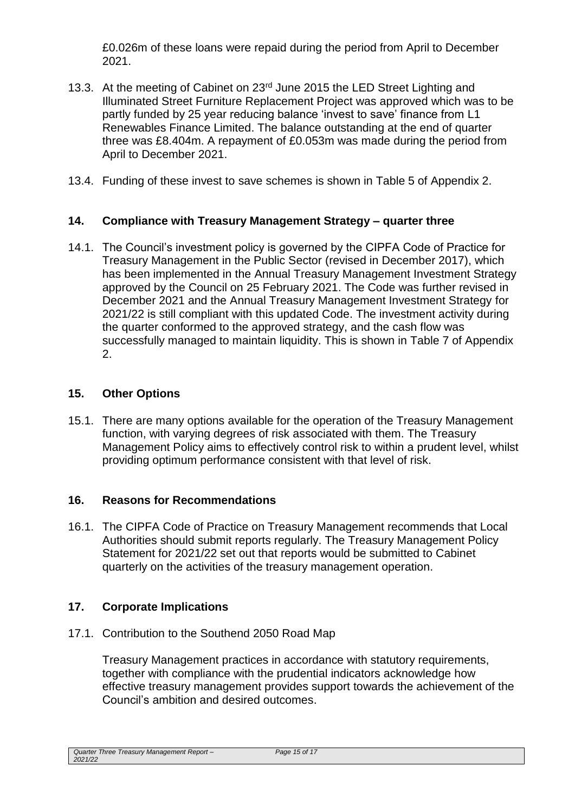£0.026m of these loans were repaid during the period from April to December 2021.

- 13.3. At the meeting of Cabinet on 23<sup>rd</sup> June 2015 the LED Street Lighting and Illuminated Street Furniture Replacement Project was approved which was to be partly funded by 25 year reducing balance 'invest to save' finance from L1 Renewables Finance Limited. The balance outstanding at the end of quarter three was £8.404m. A repayment of £0.053m was made during the period from April to December 2021.
- 13.4. Funding of these invest to save schemes is shown in Table 5 of Appendix 2.

## **14. Compliance with Treasury Management Strategy – quarter three**

14.1. The Council's investment policy is governed by the CIPFA Code of Practice for Treasury Management in the Public Sector (revised in December 2017), which has been implemented in the Annual Treasury Management Investment Strategy approved by the Council on 25 February 2021. The Code was further revised in December 2021 and the Annual Treasury Management Investment Strategy for 2021/22 is still compliant with this updated Code. The investment activity during the quarter conformed to the approved strategy, and the cash flow was successfully managed to maintain liquidity. This is shown in Table 7 of Appendix 2.

## **15. Other Options**

15.1. There are many options available for the operation of the Treasury Management function, with varying degrees of risk associated with them. The Treasury Management Policy aims to effectively control risk to within a prudent level, whilst providing optimum performance consistent with that level of risk.

## **16. Reasons for Recommendations**

16.1. The CIPFA Code of Practice on Treasury Management recommends that Local Authorities should submit reports regularly. The Treasury Management Policy Statement for 2021/22 set out that reports would be submitted to Cabinet quarterly on the activities of the treasury management operation.

## **17. Corporate Implications**

17.1. Contribution to the Southend 2050 Road Map

Treasury Management practices in accordance with statutory requirements, together with compliance with the prudential indicators acknowledge how effective treasury management provides support towards the achievement of the Council's ambition and desired outcomes.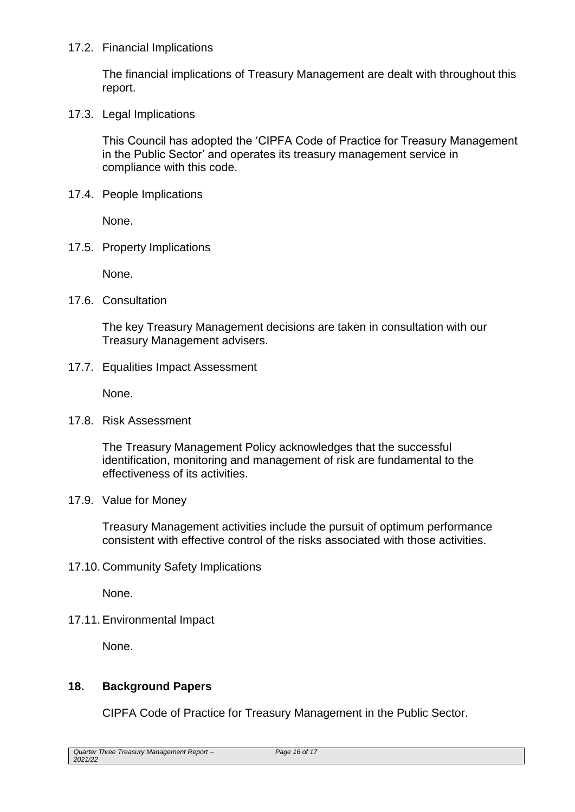#### 17.2. Financial Implications

The financial implications of Treasury Management are dealt with throughout this report.

17.3. Legal Implications

This Council has adopted the 'CIPFA Code of Practice for Treasury Management in the Public Sector' and operates its treasury management service in compliance with this code.

17.4. People Implications

None.

17.5. Property Implications

None.

17.6. Consultation

The key Treasury Management decisions are taken in consultation with our Treasury Management advisers.

17.7. Equalities Impact Assessment

None.

17.8. Risk Assessment

The Treasury Management Policy acknowledges that the successful identification, monitoring and management of risk are fundamental to the effectiveness of its activities.

17.9. Value for Money

Treasury Management activities include the pursuit of optimum performance consistent with effective control of the risks associated with those activities.

17.10. Community Safety Implications

None.

17.11.Environmental Impact

None.

## **18. Background Papers**

CIPFA Code of Practice for Treasury Management in the Public Sector.